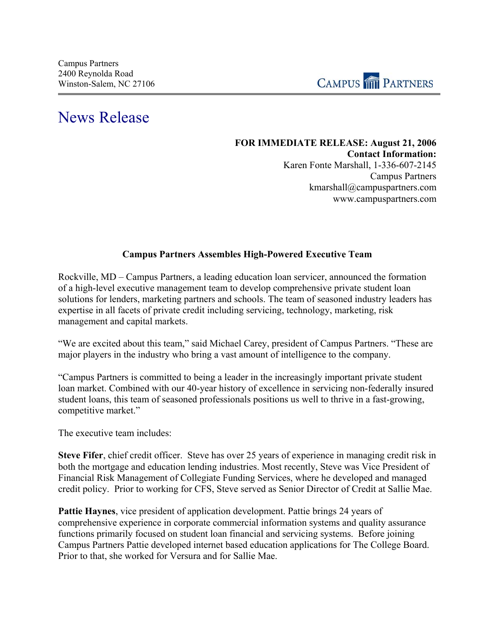

## News Release

## **FOR IMMEDIATE RELEASE: August 21, 2006 Contact Information:**  Karen Fonte Marshall, 1-336-607-2145 Campus Partners kmarshall@campuspartners.com www.campuspartners.com

## **Campus Partners Assembles High-Powered Executive Team**

Rockville, MD – Campus Partners, a leading education loan servicer, announced the formation of a high-level executive management team to develop comprehensive private student loan solutions for lenders, marketing partners and schools. The team of seasoned industry leaders has expertise in all facets of private credit including servicing, technology, marketing, risk management and capital markets.

"We are excited about this team," said Michael Carey, president of Campus Partners. "These are major players in the industry who bring a vast amount of intelligence to the company.

"Campus Partners is committed to being a leader in the increasingly important private student loan market. Combined with our 40-year history of excellence in servicing non-federally insured student loans, this team of seasoned professionals positions us well to thrive in a fast-growing, competitive market."

The executive team includes:

**Steve Fifer**, chief credit officer. Steve has over 25 years of experience in managing credit risk in both the mortgage and education lending industries. Most recently, Steve was Vice President of Financial Risk Management of Collegiate Funding Services, where he developed and managed credit policy. Prior to working for CFS, Steve served as Senior Director of Credit at Sallie Mae.

**Pattie Haynes**, vice president of application development. Pattie brings 24 years of comprehensive experience in corporate commercial information systems and quality assurance functions primarily focused on student loan financial and servicing systems. Before joining Campus Partners Pattie developed internet based education applications for The College Board. Prior to that, she worked for Versura and for Sallie Mae.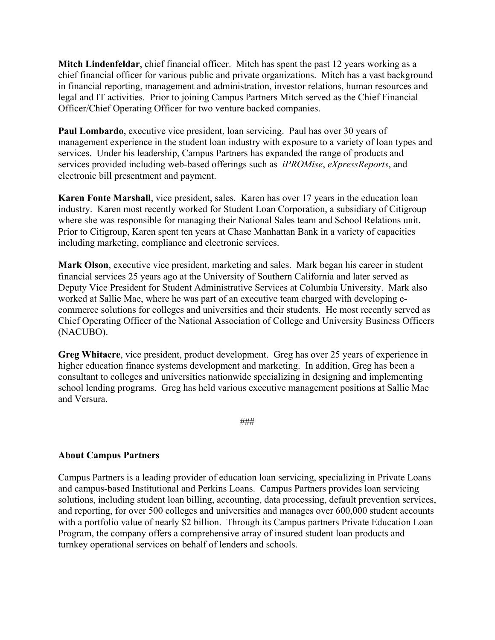**Mitch Lindenfeldar**, chief financial officer. Mitch has spent the past 12 years working as a chief financial officer for various public and private organizations. Mitch has a vast background in financial reporting, management and administration, investor relations, human resources and legal and IT activities. Prior to joining Campus Partners Mitch served as the Chief Financial Officer/Chief Operating Officer for two venture backed companies.

**Paul Lombardo**, executive vice president, loan servicing. Paul has over 30 years of management experience in the student loan industry with exposure to a variety of loan types and services. Under his leadership, Campus Partners has expanded the range of products and services provided including web-based offerings such as *iPROMise*, *eXpressReports*, and electronic bill presentment and payment.

**Karen Fonte Marshall**, vice president, sales. Karen has over 17 years in the education loan industry. Karen most recently worked for Student Loan Corporation, a subsidiary of Citigroup where she was responsible for managing their National Sales team and School Relations unit. Prior to Citigroup, Karen spent ten years at Chase Manhattan Bank in a variety of capacities including marketing, compliance and electronic services.

**Mark Olson**, executive vice president, marketing and sales. Mark began his career in student financial services 25 years ago at the University of Southern California and later served as Deputy Vice President for Student Administrative Services at Columbia University. Mark also worked at Sallie Mae, where he was part of an executive team charged with developing ecommerce solutions for colleges and universities and their students. He most recently served as Chief Operating Officer of the National Association of College and University Business Officers (NACUBO).

**Greg Whitacre**, vice president, product development. Greg has over 25 years of experience in higher education finance systems development and marketing. In addition, Greg has been a consultant to colleges and universities nationwide specializing in designing and implementing school lending programs. Greg has held various executive management positions at Sallie Mae and Versura.

###

## **About Campus Partners**

Campus Partners is a leading provider of education loan servicing, specializing in Private Loans and campus-based Institutional and Perkins Loans. Campus Partners provides loan servicing solutions, including student loan billing, accounting, data processing, default prevention services, and reporting, for over 500 colleges and universities and manages over 600,000 student accounts with a portfolio value of nearly \$2 billion. Through its Campus partners Private Education Loan Program, the company offers a comprehensive array of insured student loan products and turnkey operational services on behalf of lenders and schools.